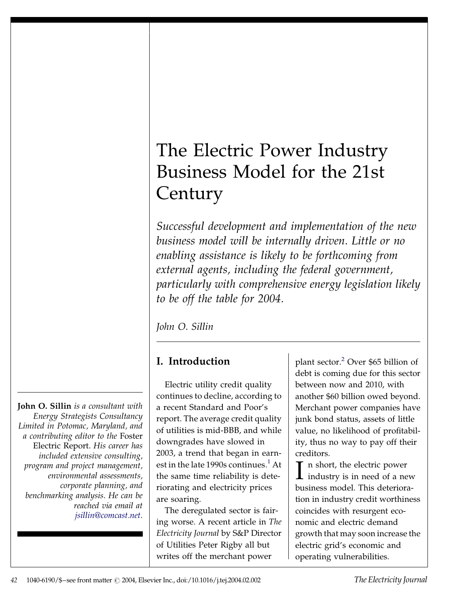# The Electric Power Industry Business Model for the 21st **Century**

Successful development and implementation of the new business model will be internally driven. Little or no enabling assistance is likely to be forthcoming from external agents, including the federal government, particularly with comprehensive energy legislation likely to be off the table for 2004.

John O. Sillin

## I. Introduction

Electric utility credit quality continues to decline, according to a recent Standard and Poor's report. The average credit quality of utilities is mid-BBB, and while downgrades have slowed in 2003, a trend that began in earn-est in the late [1](#page--1-0)990s continues.<sup>1</sup> At the same time reliability is deteriorating and electricity prices are soaring.

The deregulated sector is fairing worse. A recent article in The Electricity Journal by S&P Director of Utilities Peter Rigby all but writes off the merchant power

plant sector.[2](#page--1-0) Over \$65 billion of debt is coming due for this sector between now and 2010, with another \$60 billion owed beyond. Merchant power companies have junk bond status, assets of little value, no likelihood of profitability, thus no way to pay off their creditors.

**T** n short, the electric power industry is in need of a new business model. This deterioration in industry credit worthiness coincides with resurgent economic and electric demand growth that may soon increase the electric grid's economic and operating vulnerabilities.

John O. Sillin is a consultant with Energy Strategists Consultancy Limited in Potomac, Maryland, and a contributing editor to the Foster Electric Report. His career has included extensive consulting, program and project management, environmental assessments, corporate planning, and benchmarking analysis. He can be reached via email at [jsillin@comcast.net](http://jsillin@comcast.net).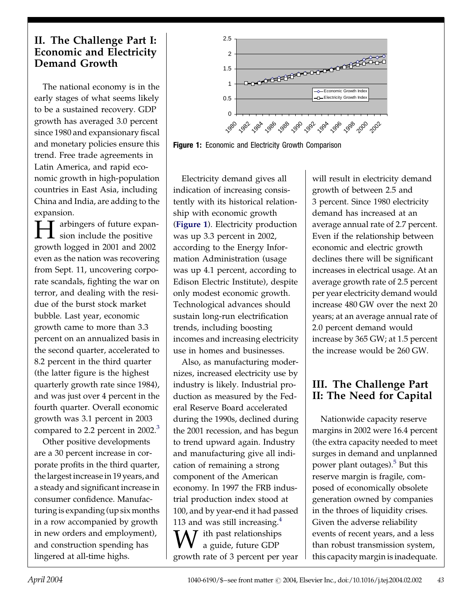#### II. The Challenge Part I: Economic and Electricity Demand Growth

The national economy is in the early stages of what seems likely to be a sustained recovery. GDP growth has averaged 3.0 percent since 1980 and expansionary fiscal and monetary policies ensure this trend. Free trade agreements in Latin America, and rapid economic growth in high-population countries in East Asia, including China and India, are adding to the expansion.

 $\blacksquare$  T arbingers of future expan- $\blacktriangle$  sion include the positive growth logged in 2001 and 2002 even as the nation was recovering from Sept. 11, uncovering corporate scandals, fighting the war on terror, and dealing with the residue of the burst stock market bubble. Last year, economic growth came to more than 3.3 percent on an annualized basis in the second quarter, accelerated to 8.2 percent in the third quarter (the latter figure is the highest quarterly growth rate since 1984), and was just over 4 percent in the fourth quarter. Overall economic growth was 3.1 percent in 2003 compared to 2.2 percent in 2002.<sup>[3](#page--1-0)</sup>

Other positive developments are a 30 percent increase in corporate profits in the third quarter, the largest increase in 19 years, and a steady and significant increase in consumer confidence. Manufacturing is expanding (up six months in a row accompanied by growth in new orders and employment), and construction spending has lingered at all-time highs.



Figure 1: Economic and Electricity Growth Comparison

Electricity demand gives all indication of increasing consistently with its historical relationship with economic growth (Figure 1). Electricity production was up 3.3 percent in 2002, according to the Energy Information Administration (usage was up 4.1 percent, according to Edison Electric Institute), despite only modest economic growth. Technological advances should sustain long-run electrification trends, including boosting incomes and increasing electricity use in homes and businesses.

Also, as manufacturing modernizes, increased electricity use by industry is likely. Industrial production as measured by the Federal Reserve Board accelerated during the 1990s, declined during the 2001 recession, and has begun to trend upward again. Industry and manufacturing give all indication of remaining a strong component of the American economy. In 1997 the FRB industrial production index stood at 100, and by year-end it had passed 113 and was still increasing. $4$  $\overline{I}$  ith past relationships a guide, future GDP growth rate of 3 percent per year

will result in electricity demand growth of between 2.5 and 3 percent. Since 1980 electricity demand has increased at an average annual rate of 2.7 percent. Even if the relationship between economic and electric growth declines there will be significant increases in electrical usage. At an average growth rate of 2.5 percent per year electricity demand would increase 480 GW over the next 20 years; at an average annual rate of 2.0 percent demand would increase by 365 GW; at 1.5 percent the increase would be 260 GW.

### III. The Challenge Part II: The Need for Capital

Nationwide capacity reserve margins in 2002 were 16.4 percent (the extra capacity needed to meet surges in demand and unplanned power plant outages).<sup>5</sup> But this reserve margin is fragile, composed of economically obsolete generation owned by companies in the throes of liquidity crises. Given the adverse reliability events of recent years, and a less than robust transmission system, this capacity margin is inadequate.